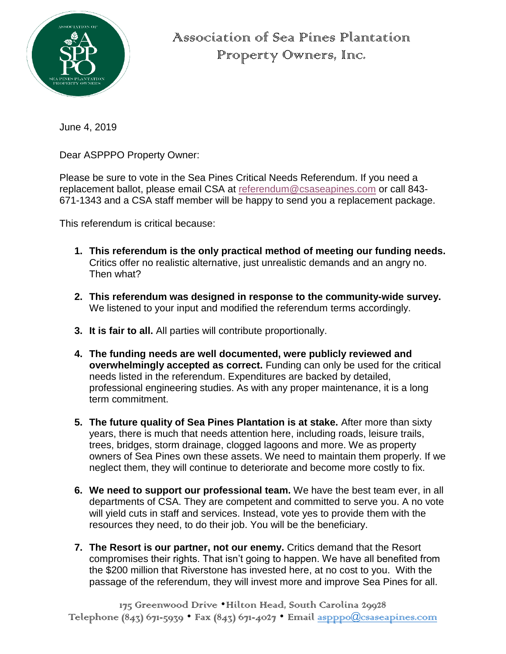

Association of Sea Pines Plantation Property Owners, Inc.

June 4, 2019

Dear ASPPPO Property Owner:

Please be sure to vote in the Sea Pines Critical Needs Referendum. If you need a replacement ballot, please email CSA at [referendum@csaseapines.com](mailto:referendum@csaseapines.com) or call 843- 671-1343 and a CSA staff member will be happy to send you a replacement package.

This referendum is critical because:

- **1. This referendum is the only practical method of meeting our funding needs.**  Critics offer no realistic alternative, just unrealistic demands and an angry no. Then what?
- **2. This referendum was designed in response to the community-wide survey.**  We listened to your input and modified the referendum terms accordingly.
- **3. It is fair to all.** All parties will contribute proportionally.
- **4. The funding needs are well documented, were publicly reviewed and overwhelmingly accepted as correct.** Funding can only be used for the critical needs listed in the referendum. Expenditures are backed by detailed, professional engineering studies. As with any proper maintenance, it is a long term commitment.
- **5. The future quality of Sea Pines Plantation is at stake.** After more than sixty years, there is much that needs attention here, including roads, leisure trails, trees, bridges, storm drainage, clogged lagoons and more. We as property owners of Sea Pines own these assets. We need to maintain them properly. If we neglect them, they will continue to deteriorate and become more costly to fix.
- **6. We need to support our professional team.** We have the best team ever, in all departments of CSA. They are competent and committed to serve you. A no vote will yield cuts in staff and services. Instead, vote yes to provide them with the resources they need, to do their job. You will be the beneficiary.
- **7. The Resort is our partner, not our enemy.** Critics demand that the Resort compromises their rights. That isn't going to happen. We have all benefited from the \$200 million that Riverstone has invested here, at no cost to you. With the passage of the referendum, they will invest more and improve Sea Pines for all.